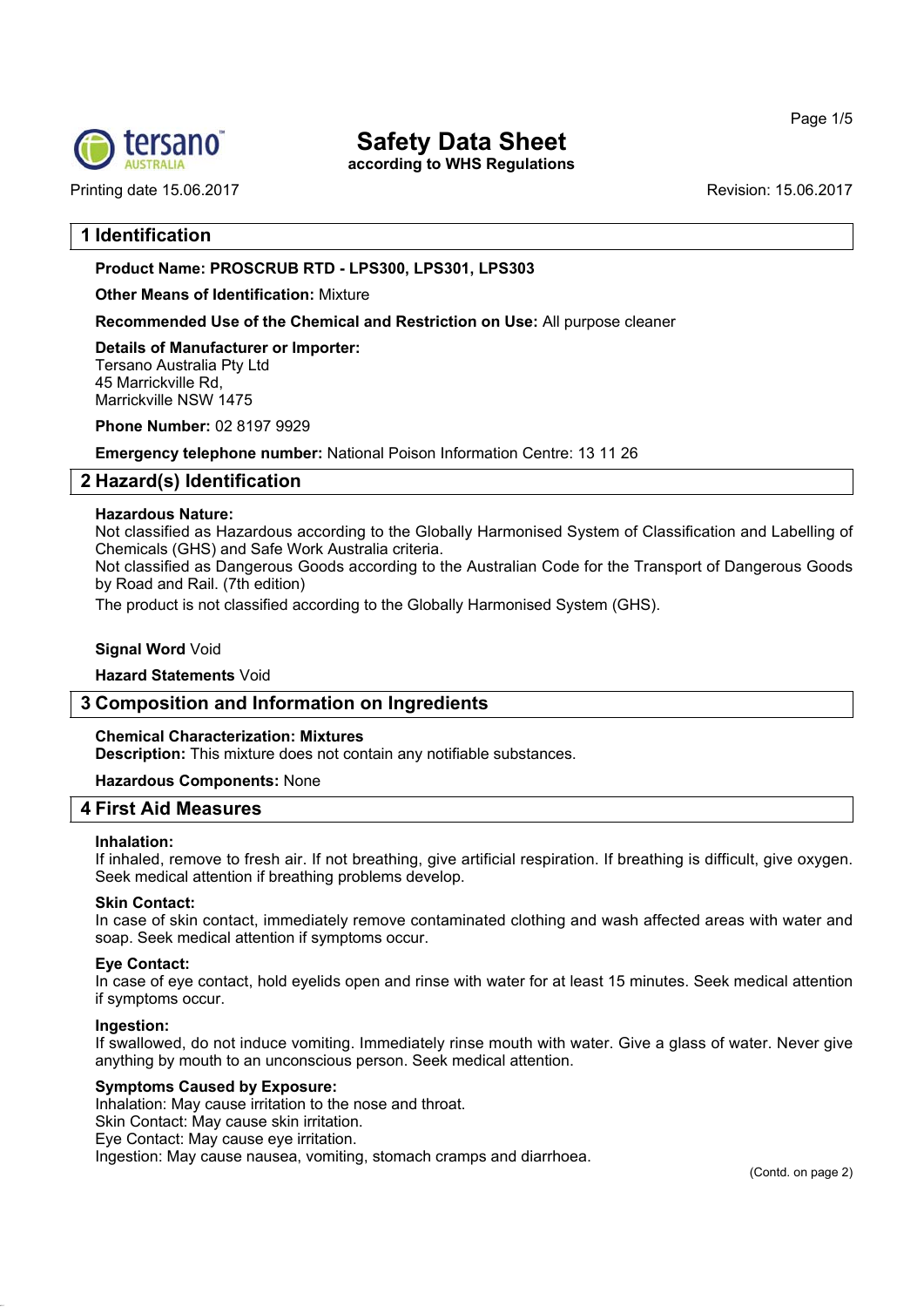

Printing date 15.06.2017 **Printing date 15.06.2017** 

# **Safety Data Sheet**

**according to WHS Regulations**

## **1 Identification**

## **Product Name: PROSCRUB RTD - LPS300, LPS301, LPS303**

**Other Means of Identification:** Mixture

**Recommended Use of the Chemical and Restriction on Use:** All purpose cleaner

**Details of Manufacturer or Importer:** Tersano Australia Pty Ltd 45 Marrickville Rd, Marrickville NSW 1475

**Phone Number:** 02 8197 9929

**Emergency telephone number:** National Poison Information Centre: 13 11 26

# **2 Hazard(s) Identification**

## **Hazardous Nature:**

Not classified as Hazardous according to the Globally Harmonised System of Classification and Labelling of Chemicals (GHS) and Safe Work Australia criteria.

Not classified as Dangerous Goods according to the Australian Code for the Transport of Dangerous Goods by Road and Rail. (7th edition)

The product is not classified according to the Globally Harmonised System (GHS).

## **Signal Word** Void

## **Hazard Statements** Void

## **3 Composition and Information on Ingredients**

## **Chemical Characterization: Mixtures**

**Description:** This mixture does not contain any notifiable substances.

## **Hazardous Components:** None

# **4 First Aid Measures**

## **Inhalation:**

If inhaled, remove to fresh air. If not breathing, give artificial respiration. If breathing is difficult, give oxygen. Seek medical attention if breathing problems develop.

## **Skin Contact:**

In case of skin contact, immediately remove contaminated clothing and wash affected areas with water and soap. Seek medical attention if symptoms occur.

## **Eye Contact:**

In case of eye contact, hold eyelids open and rinse with water for at least 15 minutes. Seek medical attention if symptoms occur.

## **Ingestion:**

If swallowed, do not induce vomiting. Immediately rinse mouth with water. Give a glass of water. Never give anything by mouth to an unconscious person. Seek medical attention.

## **Symptoms Caused by Exposure:**

Inhalation: May cause irritation to the nose and throat.

Skin Contact: May cause skin irritation.

Eye Contact: May cause eye irritation.

Ingestion: May cause nausea, vomiting, stomach cramps and diarrhoea.

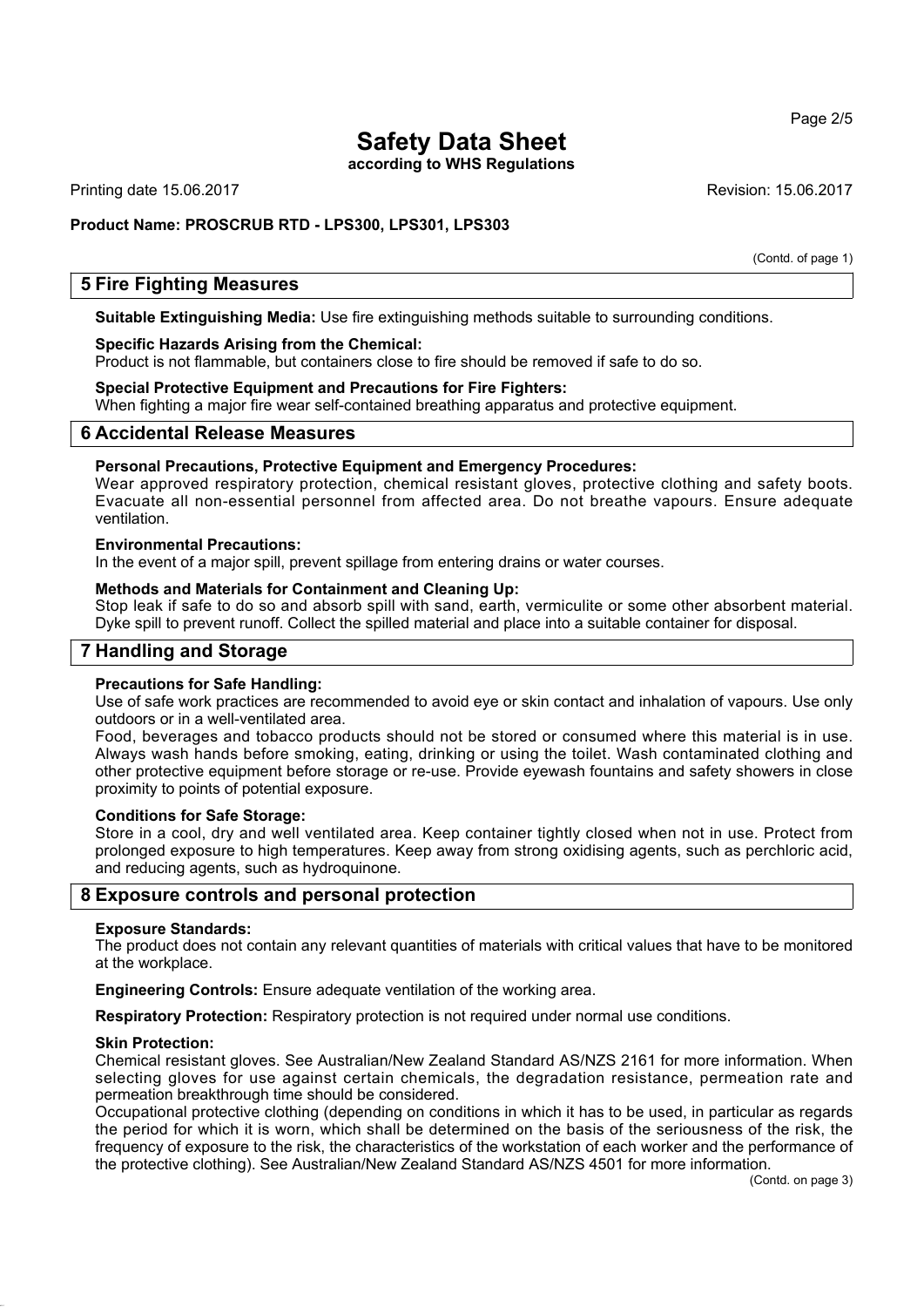**according to WHS Regulations**

Printing date 15.06.2017 **Revision: 15.06.2017** Revision: 15.06.2017

## **Product Name: PROSCRUB RTD - LPS300, LPS301, LPS303**

(Contd. of page 1)

## **5 Fire Fighting Measures**

**Suitable Extinguishing Media:** Use fire extinguishing methods suitable to surrounding conditions.

#### **Specific Hazards Arising from the Chemical:**

Product is not flammable, but containers close to fire should be removed if safe to do so.

#### **Special Protective Equipment and Precautions for Fire Fighters:**

When fighting a major fire wear self-contained breathing apparatus and protective equipment.

## **6 Accidental Release Measures**

#### **Personal Precautions, Protective Equipment and Emergency Procedures:**

Wear approved respiratory protection, chemical resistant gloves, protective clothing and safety boots. Evacuate all non-essential personnel from affected area. Do not breathe vapours. Ensure adequate ventilation.

#### **Environmental Precautions:**

In the event of a major spill, prevent spillage from entering drains or water courses.

#### **Methods and Materials for Containment and Cleaning Up:**

Stop leak if safe to do so and absorb spill with sand, earth, vermiculite or some other absorbent material. Dyke spill to prevent runoff. Collect the spilled material and place into a suitable container for disposal.

## **7 Handling and Storage**

#### **Precautions for Safe Handling:**

Use of safe work practices are recommended to avoid eye or skin contact and inhalation of vapours. Use only outdoors or in a well-ventilated area.

Food, beverages and tobacco products should not be stored or consumed where this material is in use. Always wash hands before smoking, eating, drinking or using the toilet. Wash contaminated clothing and other protective equipment before storage or re-use. Provide eyewash fountains and safety showers in close proximity to points of potential exposure.

#### **Conditions for Safe Storage:**

Store in a cool, dry and well ventilated area. Keep container tightly closed when not in use. Protect from prolonged exposure to high temperatures. Keep away from strong oxidising agents, such as perchloric acid, and reducing agents, such as hydroquinone.

## **8 Exposure controls and personal protection**

#### **Exposure Standards:**

The product does not contain any relevant quantities of materials with critical values that have to be monitored at the workplace.

**Engineering Controls:** Ensure adequate ventilation of the working area.

**Respiratory Protection:** Respiratory protection is not required under normal use conditions.

#### **Skin Protection:**

Chemical resistant gloves. See Australian/New Zealand Standard AS/NZS 2161 for more information. When selecting gloves for use against certain chemicals, the degradation resistance, permeation rate and permeation breakthrough time should be considered.

Occupational protective clothing (depending on conditions in which it has to be used, in particular as regards the period for which it is worn, which shall be determined on the basis of the seriousness of the risk, the frequency of exposure to the risk, the characteristics of the workstation of each worker and the performance of the protective clothing). See Australian/New Zealand Standard AS/NZS 4501 for more information.

#### Page 2/5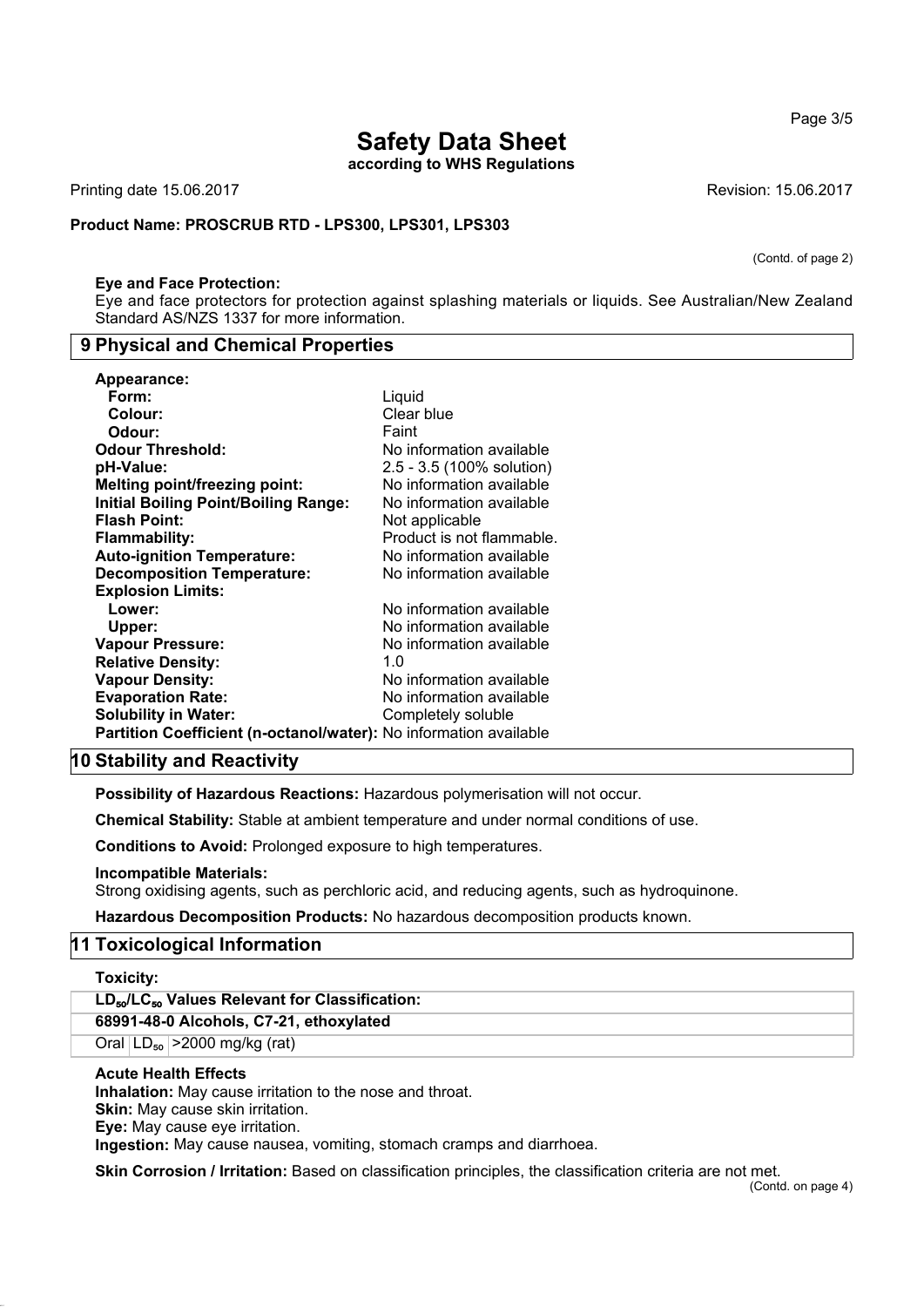**according to WHS Regulations**

Printing date 15.06.2017 **Printing date 15.06.2017** Revision: 15.06.2017

#### **Product Name: PROSCRUB RTD - LPS300, LPS301, LPS303**

#### **Eye and Face Protection:**

Eye and face protectors for protection against splashing materials or liquids. See Australian/New Zealand Standard AS/NZS 1337 for more information.

## **9 Physical and Chemical Properties**

| Appearance:                                                       |                           |
|-------------------------------------------------------------------|---------------------------|
| Form:                                                             | Liquid                    |
| Colour:                                                           | Clear blue                |
| Odour:                                                            | Faint                     |
| <b>Odour Threshold:</b>                                           | No information available  |
| pH-Value:                                                         | 2.5 - 3.5 (100% solution) |
| <b>Melting point/freezing point:</b>                              | No information available  |
| <b>Initial Boiling Point/Boiling Range:</b>                       | No information available  |
| <b>Flash Point:</b>                                               | Not applicable            |
| <b>Flammability:</b>                                              | Product is not flammable. |
| <b>Auto-ignition Temperature:</b>                                 | No information available  |
| <b>Decomposition Temperature:</b>                                 | No information available  |
| <b>Explosion Limits:</b>                                          |                           |
| Lower:                                                            | No information available  |
| Upper:                                                            | No information available  |
| <b>Vapour Pressure:</b>                                           | No information available  |
| <b>Relative Density:</b>                                          | 1. $\Omega$               |
| <b>Vapour Density:</b>                                            | No information available  |
| <b>Evaporation Rate:</b>                                          | No information available  |
| <b>Solubility in Water:</b>                                       | Completely soluble        |
| Partition Coefficient (n-octanol/water): No information available |                           |

## **10 Stability and Reactivity**

**Possibility of Hazardous Reactions:** Hazardous polymerisation will not occur.

**Chemical Stability:** Stable at ambient temperature and under normal conditions of use.

**Conditions to Avoid:** Prolonged exposure to high temperatures.

#### **Incompatible Materials:**

Strong oxidising agents, such as perchloric acid, and reducing agents, such as hydroquinone.

**Hazardous Decomposition Products:** No hazardous decomposition products known.

## **11 Toxicological Information**

**Toxicity:**

**LD**₅₀**/LC**₅₀ **Values Relevant for Classification: 68991-48-0 Alcohols, C7-21, ethoxylated** Oral  $|LD_{50}| > 2000$  mg/kg (rat) **Acute Health Effects Inhalation:** May cause irritation to the nose and throat.

**Skin:** May cause skin irritation. **Eye:** May cause eye irritation.

**Ingestion:** May cause nausea, vomiting, stomach cramps and diarrhoea.

**Skin Corrosion / Irritation:** Based on classification principles, the classification criteria are not met.

(Contd. of page 2)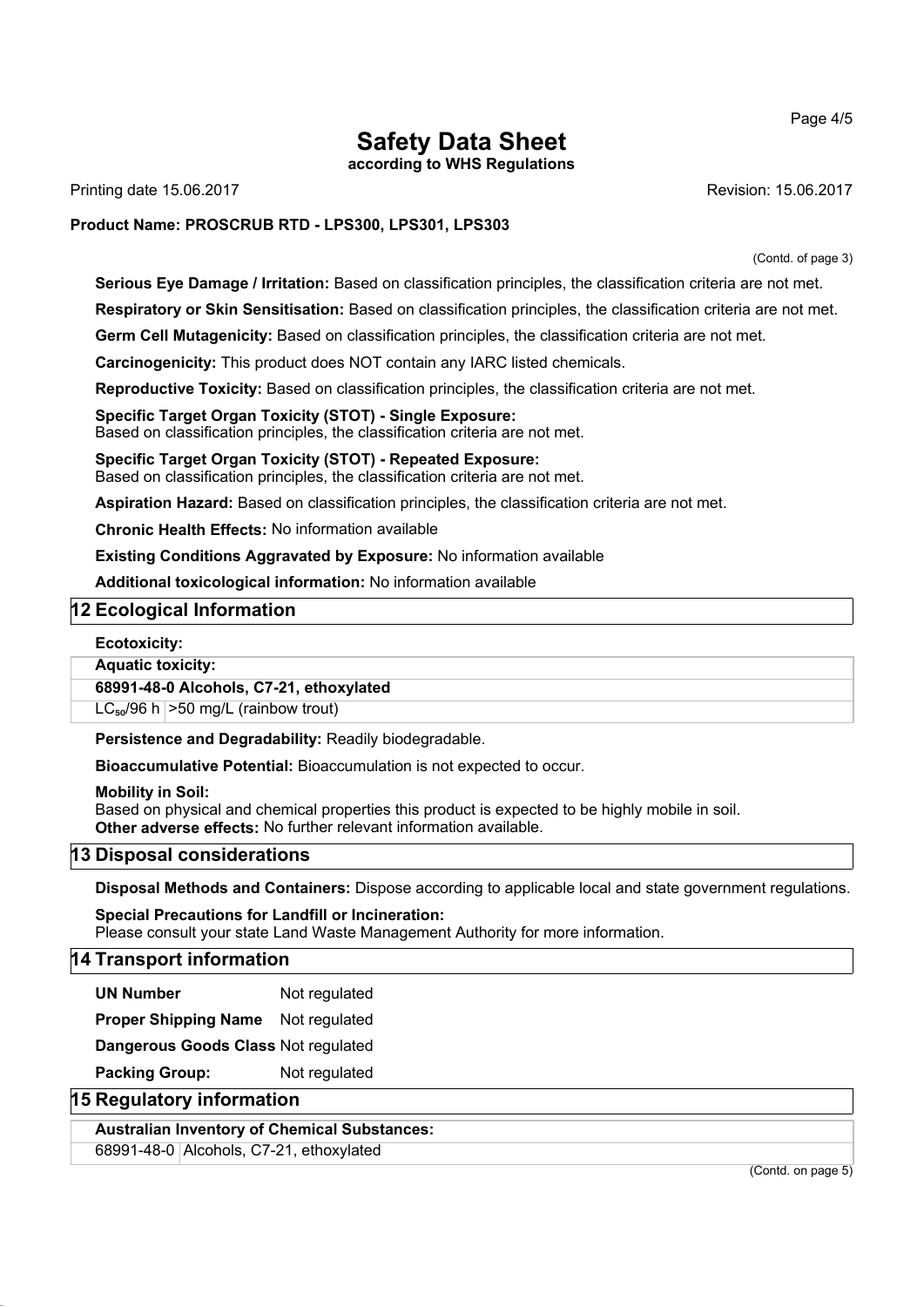**according to WHS Regulations**

Printing date 15.06.2017 **Revision: 15.06.2017** Revision: 15.06.2017

## **Product Name: PROSCRUB RTD - LPS300, LPS301, LPS303**

(Contd. of page 3)

**Serious Eye Damage / Irritation:** Based on classification principles, the classification criteria are not met.

**Respiratory or Skin Sensitisation:** Based on classification principles, the classification criteria are not met.

**Germ Cell Mutagenicity:** Based on classification principles, the classification criteria are not met.

**Carcinogenicity:** This product does NOT contain any IARC listed chemicals.

**Reproductive Toxicity:** Based on classification principles, the classification criteria are not met.

**Specific Target Organ Toxicity (STOT) - Single Exposure:** Based on classification principles, the classification criteria are not met.

**Specific Target Organ Toxicity (STOT) - Repeated Exposure:** Based on classification principles, the classification criteria are not met.

**Aspiration Hazard:** Based on classification principles, the classification criteria are not met.

**Chronic Health Effects:** No information available

**Existing Conditions Aggravated by Exposure:** No information available

**Additional toxicological information:** No information available

## **12 Ecological Information**

## **Ecotoxicity:**

**Aquatic toxicity:**

## **68991-48-0 Alcohols, C7-21, ethoxylated**

 $LC_{50}/96$  h  $>50$  mg/L (rainbow trout)

**Persistence and Degradability:** Readily biodegradable.

**Bioaccumulative Potential:** Bioaccumulation is not expected to occur.

**Mobility in Soil:**

Based on physical and chemical properties this product is expected to be highly mobile in soil. **Other adverse effects:** No further relevant information available.

## **13 Disposal considerations**

**Disposal Methods and Containers:** Dispose according to applicable local and state government regulations.

**Special Precautions for Landfill or Incineration:** Please consult your state Land Waste Management Authority for more information.

## **14 Transport information**

**UN Number** Not regulated

**Proper Shipping Name** Not regulated

**Dangerous Goods Class** Not regulated

**Packing Group:** Not regulated

## **15 Regulatory information**

**Australian Inventory of Chemical Substances:**

68991-48-0 Alcohols, C7-21, ethoxylated

(Contd. on page 5)

#### Page 4/5